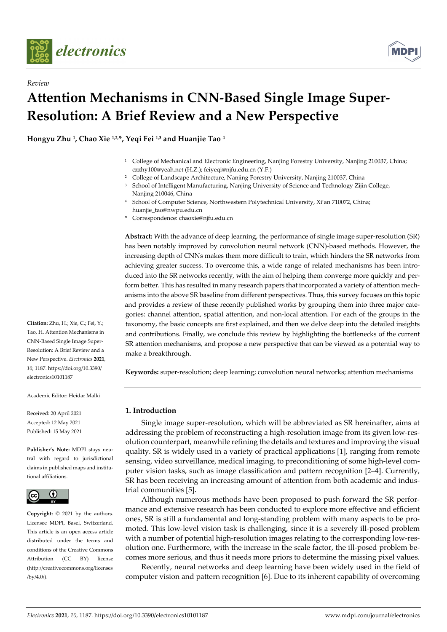

*Review* 



# **Attention Mechanisms in CNN-Based Single Image Super-Resolution: A Brief Review and a New Perspective**

**Hongyu Zhu 1, Chao Xie 1,2,\*, Yeqi Fei 1,3 and Huanjie Tao 4**

- 1 College of Mechanical and Electronic Engineering, Nanjing Forestry University, Nanjing 210037, China; czzhy100@yeah.net (H.Z.); feiyeqi@njfu.edu.cn (Y.F.)
- <sup>2</sup> College of Landscape Architecture, Nanjing Forestry University, Nanjing 210037, China
- 3 School of Intelligent Manufacturing, Nanjing University of Science and Technology Zijin College, Nanjing 210046, China
- 4 School of Computer Science, Northwestern Polytechnical University, Xi'an 710072, China; huanjie\_tao@nwpu.edu.cn
- **\*** Correspondence: chaoxie@njfu.edu.cn

**Abstract:** With the advance of deep learning, the performance of single image super-resolution (SR) has been notably improved by convolution neural network (CNN)-based methods. However, the increasing depth of CNNs makes them more difficult to train, which hinders the SR networks from achieving greater success. To overcome this, a wide range of related mechanisms has been introduced into the SR networks recently, with the aim of helping them converge more quickly and perform better. This has resulted in many research papers that incorporated a variety of attention mechanisms into the above SR baseline from different perspectives. Thus, this survey focuses on this topic and provides a review of these recently published works by grouping them into three major categories: channel attention, spatial attention, and non-local attention. For each of the groups in the taxonomy, the basic concepts are first explained, and then we delve deep into the detailed insights and contributions. Finally, we conclude this review by highlighting the bottlenecks of the current SR attention mechanisms, and propose a new perspective that can be viewed as a potential way to make a breakthrough.

**Keywords:** super-resolution; deep learning; convolution neural networks; attention mechanisms

# **1. Introduction**

Single image super-resolution, which will be abbreviated as SR hereinafter, aims at addressing the problem of reconstructing a high-resolution image from its given low-resolution counterpart, meanwhile refining the details and textures and improving the visual quality. SR is widely used in a variety of practical applications [1], ranging from remote sensing, video surveillance, medical imaging, to preconditioning of some high-level computer vision tasks, such as image classification and pattern recognition [2–4]. Currently, SR has been receiving an increasing amount of attention from both academic and industrial communities [5].

Although numerous methods have been proposed to push forward the SR performance and extensive research has been conducted to explore more effective and efficient ones, SR is still a fundamental and long-standing problem with many aspects to be promoted. This low-level vision task is challenging, since it is a severely ill-posed problem with a number of potential high-resolution images relating to the corresponding low-resolution one. Furthermore, with the increase in the scale factor, the ill-posed problem becomes more serious, and thus it needs more priors to determine the missing pixel values.

Recently, neural networks and deep learning have been widely used in the field of computer vision and pattern recognition [6]. Due to its inherent capability of overcoming

**Citation:** Zhu, H.; Xie, C.; Fei, Y.; Tao, H. Attention Mechanisms in CNN-Based Single Image Super-Resolution: A Brief Review and a New Perspective. *Electronics* **2021**, *10*, 1187. https://doi.org/10.3390/ electronics10101187

Academic Editor: Heidar Malki

Received: 20 April 2021 Accepted: 12 May 2021 Published: 15 May 2021

**Publisher's Note:** MDPI stays neutral with regard to jurisdictional claims in published maps and institutional affiliations.



**Copyright:** © 2021 by the authors. Licensee MDPI, Basel, Switzerland. This article is an open access article distributed under the terms and conditions of the Creative Commons Attribution (CC BY) license (http://creativecommons.org/licenses /by/4.0/).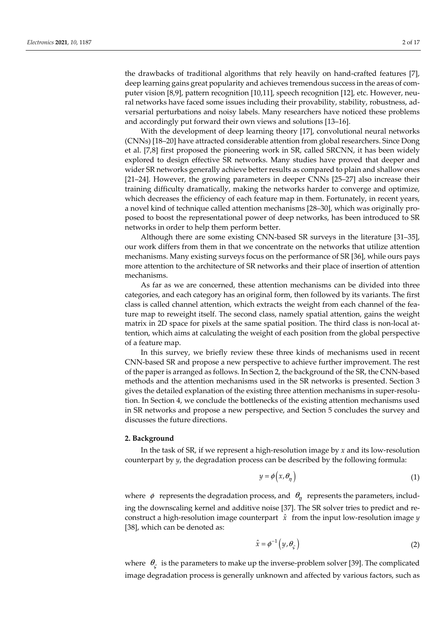the drawbacks of traditional algorithms that rely heavily on hand-crafted features [7], deep learning gains great popularity and achieves tremendous success in the areas of computer vision [8,9], pattern recognition [10,11], speech recognition [12], etc. However, neural networks have faced some issues including their provability, stability, robustness, adversarial perturbations and noisy labels. Many researchers have noticed these problems and accordingly put forward their own views and solutions [13–16].

With the development of deep learning theory [17], convolutional neural networks (CNNs) [18–20] have attracted considerable attention from global researchers. Since Dong et al. [7,8] first proposed the pioneering work in SR, called SRCNN, it has been widely explored to design effective SR networks. Many studies have proved that deeper and wider SR networks generally achieve better results as compared to plain and shallow ones [21–24]. However, the growing parameters in deeper CNNs [25–27] also increase their training difficulty dramatically, making the networks harder to converge and optimize, which decreases the efficiency of each feature map in them. Fortunately, in recent years, a novel kind of technique called attention mechanisms [28–30], which was originally proposed to boost the representational power of deep networks, has been introduced to SR networks in order to help them perform better.

Although there are some existing CNN-based SR surveys in the literature [31–35], our work differs from them in that we concentrate on the networks that utilize attention mechanisms. Many existing surveys focus on the performance of SR [36], while ours pays more attention to the architecture of SR networks and their place of insertion of attention mechanisms.

As far as we are concerned, these attention mechanisms can be divided into three categories, and each category has an original form, then followed by its variants. The first class is called channel attention, which extracts the weight from each channel of the feature map to reweight itself. The second class, namely spatial attention, gains the weight matrix in 2D space for pixels at the same spatial position. The third class is non-local attention, which aims at calculating the weight of each position from the global perspective of a feature map.

In this survey, we briefly review these three kinds of mechanisms used in recent CNN-based SR and propose a new perspective to achieve further improvement. The rest of the paper is arranged as follows. In Section 2, the background of the SR, the CNN-based methods and the attention mechanisms used in the SR networks is presented. Section 3 gives the detailed explanation of the existing three attention mechanisms in super-resolution. In Section 4, we conclude the bottlenecks of the existing attention mechanisms used in SR networks and propose a new perspective, and Section 5 concludes the survey and discusses the future directions.

# **2. Background**

In the task of SR, if we represent a high-resolution image by *x* and its low-resolution counterpart by *y*, the degradation process can be described by the following formula:

$$
y = \phi\left(x, \theta_{\eta}\right) \tag{1}
$$

where  $\phi$  represents the degradation process, and  $\theta_n$  represents the parameters, including the downscaling kernel and additive noise [37]. The SR solver tries to predict and reconstruct a high-resolution image counterpart *x*ˆ from the input low-resolution image *y*  [38], which can be denoted as:

$$
\hat{x} = \phi^{-1}\left(y, \theta_{\varsigma}\right) \tag{2}
$$

where  $\theta_c$  is the parameters to make up the inverse-problem solver [39]. The complicated image degradation process is generally unknown and affected by various factors, such as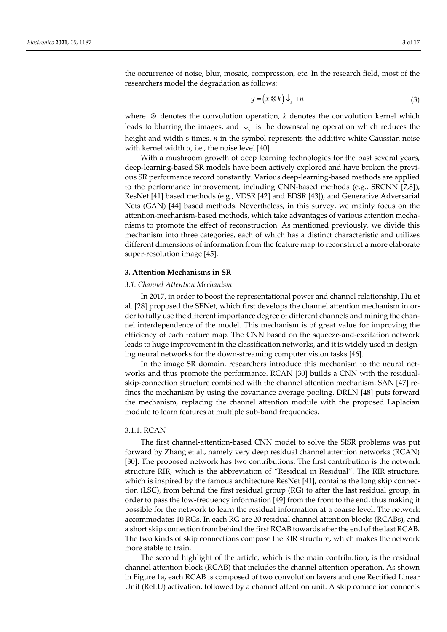the occurrence of noise, blur, mosaic, compression, etc. In the research field, most of the researchers model the degradation as follows:

$$
y = (x \otimes k) \downarrow_s + n \tag{3}
$$

where ⊗ denotes the convolution operation, *k* denotes the convolution kernel which leads to blurring the images, and  $\downarrow$  is the downscaling operation which reduces the height and width s times. *n* in the symbol represents the additive white Gaussian noise with kernel width  $\sigma$ , i.e., the noise level [40].

With a mushroom growth of deep learning technologies for the past several years, deep-learning-based SR models have been actively explored and have broken the previous SR performance record constantly. Various deep-learning-based methods are applied to the performance improvement, including CNN-based methods (e.g., SRCNN [7,8]), ResNet [41] based methods (e.g., VDSR [42] and EDSR [43]), and Generative Adversarial Nets (GAN) [44] based methods. Nevertheless, in this survey, we mainly focus on the attention-mechanism-based methods, which take advantages of various attention mechanisms to promote the effect of reconstruction. As mentioned previously, we divide this mechanism into three categories, each of which has a distinct characteristic and utilizes different dimensions of information from the feature map to reconstruct a more elaborate super-resolution image [45].

## **3. Attention Mechanisms in SR**

# *3.1. Channel Attention Mechanism*

In 2017, in order to boost the representational power and channel relationship, Hu et al. [28] proposed the SENet, which first develops the channel attention mechanism in order to fully use the different importance degree of different channels and mining the channel interdependence of the model. This mechanism is of great value for improving the efficiency of each feature map. The CNN based on the squeeze-and-excitation network leads to huge improvement in the classification networks, and it is widely used in designing neural networks for the down-streaming computer vision tasks [46].

In the image SR domain, researchers introduce this mechanism to the neural networks and thus promote the performance. RCAN [30] builds a CNN with the residualskip-connection structure combined with the channel attention mechanism. SAN [47] refines the mechanism by using the covariance average pooling. DRLN [48] puts forward the mechanism, replacing the channel attention module with the proposed Laplacian module to learn features at multiple sub-band frequencies.

# 3.1.1. RCAN

The first channel-attention-based CNN model to solve the SISR problems was put forward by Zhang et al., namely very deep residual channel attention networks (RCAN) [30]. The proposed network has two contributions. The first contribution is the network structure RIR, which is the abbreviation of "Residual in Residual". The RIR structure, which is inspired by the famous architecture ResNet [41], contains the long skip connection (LSC), from behind the first residual group (RG) to after the last residual group, in order to pass the low-frequency information [49] from the front to the end, thus making it possible for the network to learn the residual information at a coarse level. The network accommodates 10 RGs. In each RG are 20 residual channel attention blocks (RCABs), and a short skip connection from behind the first RCAB towards after the end of the last RCAB. The two kinds of skip connections compose the RIR structure, which makes the network more stable to train.

The second highlight of the article, which is the main contribution, is the residual channel attention block (RCAB) that includes the channel attention operation. As shown in Figure 1a, each RCAB is composed of two convolution layers and one Rectified Linear Unit (ReLU) activation, followed by a channel attention unit. A skip connection connects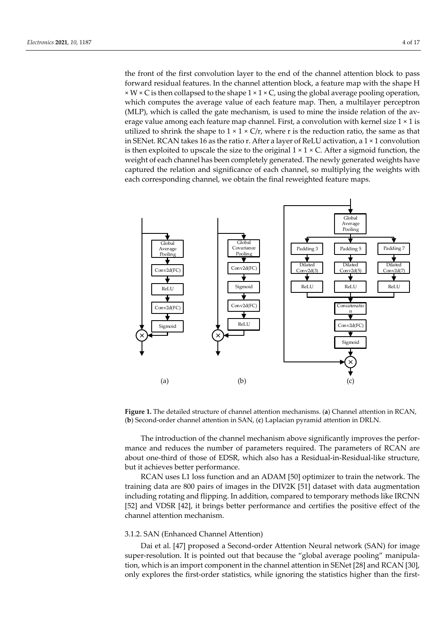the front of the first convolution layer to the end of the channel attention block to pass forward residual features. In the channel attention block, a feature map with the shape H  $\times$  W  $\times$  C is then collapsed to the shape 1  $\times$  1  $\times$  C, using the global average pooling operation, which computes the average value of each feature map. Then, a multilayer perceptron (MLP), which is called the gate mechanism, is used to mine the inside relation of the average value among each feature map channel. First, a convolution with kernel size  $1 \times 1$  is utilized to shrink the shape to  $1 \times 1 \times C/r$ , where r is the reduction ratio, the same as that in SENet. RCAN takes 16 as the ratio r. After a layer of ReLU activation, a 1 × 1 convolution is then exploited to upscale the size to the original  $1 \times 1 \times C$ . After a sigmoid function, the weight of each channel has been completely generated. The newly generated weights have captured the relation and significance of each channel, so multiplying the weights with each corresponding channel, we obtain the final reweighted feature maps.



**Figure 1.** The detailed structure of channel attention mechanisms. (**a**) Channel attention in RCAN, (**b**) Second-order channel attention in SAN, (**c**) Laplacian pyramid attention in DRLN.

The introduction of the channel mechanism above significantly improves the performance and reduces the number of parameters required. The parameters of RCAN are about one-third of those of EDSR, which also has a Residual-in-Residual-like structure, but it achieves better performance.

RCAN uses L1 loss function and an ADAM [50] optimizer to train the network. The training data are 800 pairs of images in the DIV2K [51] dataset with data augmentation including rotating and flipping. In addition, compared to temporary methods like IRCNN [52] and VDSR [42], it brings better performance and certifies the positive effect of the channel attention mechanism.

# 3.1.2. SAN (Enhanced Channel Attention)

Dai et al. [47] proposed a Second-order Attention Neural network (SAN) for image super-resolution. It is pointed out that because the "global average pooling" manipulation, which is an import component in the channel attention in SENet [28] and RCAN [30], only explores the first-order statistics, while ignoring the statistics higher than the first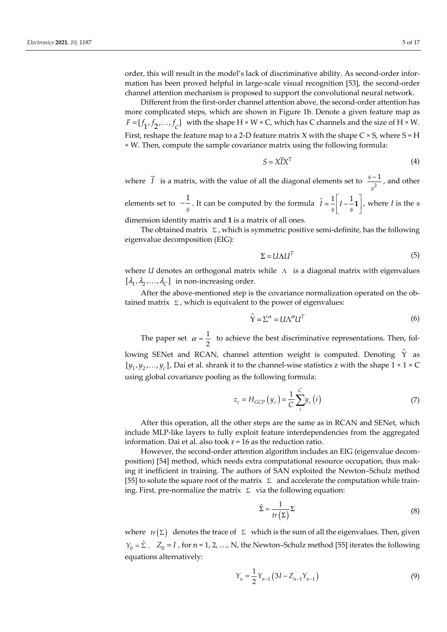order, this will result in the model's lack of discriminative ability. As second-order information has been proved helpful in large-scale visual recognition [53], the second-order channel attention mechanism is proposed to support the convolutional neural network.

Different from the first-order channel attention above, the second-order attention has more complicated steps, which are shown in Figure 1b. Denote a given feature map as  $F = [f_1, f_2, \dots, f_c]$  with the shape H × W × C, which has C channels and the size of H × W. First, reshape the feature map to a 2-D feature matrix X with the shape C  $\times$  S, where S = H × W. Then, compute the sample covariance matrix using the following formula:

$$
S = X\overline{I}X^T \tag{4}
$$

where  $\overline{I}$  is a matrix, with the value of all the diagonal elements set to  $\frac{s-1}{s^2}$  $s - 1$ *s* , and other

elements set to  $-\frac{1}{s}$ . It can be computed by the formula  $\hat{I} = \frac{1}{s} \left[ I - \frac{1}{s} \mathbf{1} \right]$ , where *I* is the s dimension identity matrix and **1** is a matrix of all ones.

The obtained matrix  $\Sigma$ , which is symmetric positive semi-definite, has the following eigenvalue decomposition (EIG):

$$
\Sigma = U \Lambda U^T \tag{5}
$$

where *U* denotes an orthogonal matrix while Λ is a diagonal matrix with eigenvalues  $[\lambda_1, \lambda_2, ..., \lambda_C]$  in non-increasing order.

After the above-mentioned step is the covariance normalization operated on the obtained matrix  $\Sigma$ , which is equivalent to the power of eigenvalues:

$$
\hat{\mathbf{Y}} = \Sigma^{\alpha} = U \Lambda^{\alpha} U^{T}
$$
\n(6)

The paper set  $\alpha = \frac{1}{2}$  to achieve the best discriminative representations. Then, fol-

lowing SENet and RCAN, channel attention weight is computed. Denoting  $\hat{Y}$  as  $[y_1, y_2, \ldots, y_c]$ , Dai et al. shrank it to the channel-wise statistics z with the shape  $1 \times 1 \times C$ using global covariance pooling as the following formula:

$$
z_c = H_{GCP}\left(y_c\right) = \frac{1}{C} \sum_{i}^{C} y_c\left(i\right) \tag{7}
$$

After this operation, all the other steps are the same as in RCAN and SENet, which include MLP-like layers to fully exploit feature interdependencies from the aggregated information. Dai et al. also took r = 16 as the reduction ratio.

However, the second-order attention algorithm includes an EIG (eigenvalue decomposition) [54] method, which needs extra computational resource occupation, thus making it inefficient in training. The authors of SAN exploited the Newton–Schulz method [55] to solute the square root of the matrix  $\Sigma$  and accelerate the computation while training. First, pre-normalize the matrix  $\Sigma$  via the following equation:

$$
\hat{\Sigma} = \frac{1}{tr(\Sigma)} \Sigma
$$
 (8)

where  $tr(\Sigma)$  denotes the trace of  $\Sigma$  which is the sum of all the eigenvalues. Then, given  $Y_0 = \hat{\Sigma}$ ,  $Z_0 = I$ , for n = 1, 2, …, N, the Newton–Schulz method [55] iterates the following equations alternatively:

$$
Y_n = \frac{1}{2} Y_{n-1} \left( 3I - Z_{n-1} Y_{n-1} \right)
$$
\n(9)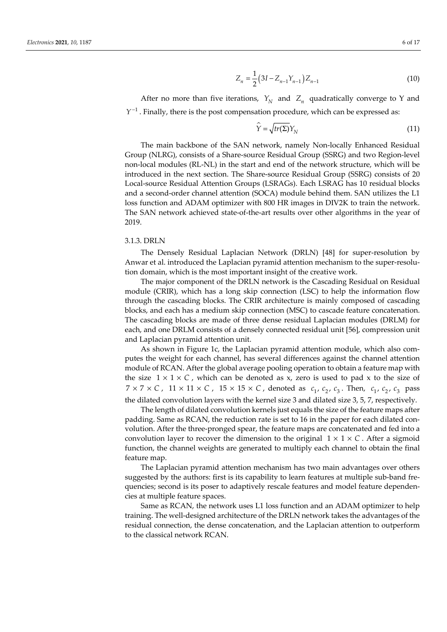$$
Z_n = \frac{1}{2} \left( 3I - Z_{n-1} Y_{n-1} \right) Z_{n-1}
$$
\n(10)

After no more than five iterations,  $Y_N$  and  $Z_n$  quadratically converge to Y and  $Y^{-1}$ . Finally, there is the post compensation procedure, which can be expressed as:

$$
\hat{Y} = \sqrt{tr(\Sigma)} Y_N \tag{11}
$$

The main backbone of the SAN network, namely Non-locally Enhanced Residual Group (NLRG), consists of a Share-source Residual Group (SSRG) and two Region-level non-local modules (RL-NL) in the start and end of the network structure, which will be introduced in the next section. The Share-source Residual Group (SSRG) consists of 20 Local-source Residual Attention Groups (LSRAGs). Each LSRAG has 10 residual blocks and a second-order channel attention (SOCA) module behind them. SAN utilizes the L1 loss function and ADAM optimizer with 800 HR images in DIV2K to train the network. The SAN network achieved state-of-the-art results over other algorithms in the year of 2019.

# 3.1.3. DRLN

The Densely Residual Laplacian Network (DRLN) [48] for super-resolution by Anwar et al. introduced the Laplacian pyramid attention mechanism to the super-resolution domain, which is the most important insight of the creative work.

The major component of the DRLN network is the Cascading Residual on Residual module (CRIR), which has a long skip connection (LSC) to help the information flow through the cascading blocks. The CRIR architecture is mainly composed of cascading blocks, and each has a medium skip connection (MSC) to cascade feature concatenation. The cascading blocks are made of three dense residual Laplacian modules (DRLM) for each, and one DRLM consists of a densely connected residual unit [56], compression unit and Laplacian pyramid attention unit.

As shown in Figure 1c, the Laplacian pyramid attention module, which also computes the weight for each channel, has several differences against the channel attention module of RCAN. After the global average pooling operation to obtain a feature map with the size  $1 \times 1 \times C$ , which can be denoted as x, zero is used to pad x to the size of  $7 \times 7 \times C$ ,  $11 \times 11 \times C$ ,  $15 \times 15 \times C$ , denoted as  $c_1$ ,  $c_2$ ,  $c_3$ . Then,  $c_1$ ,  $c_2$ ,  $c_3$  pass the dilated convolution layers with the kernel size 3 and dilated size 3, 5, 7, respectively.

The length of dilated convolution kernels just equals the size of the feature maps after padding. Same as RCAN, the reduction rate is set to 16 in the paper for each dilated convolution. After the three-pronged spear, the feature maps are concatenated and fed into a convolution layer to recover the dimension to the original  $1 \times 1 \times C$ . After a sigmoid function, the channel weights are generated to multiply each channel to obtain the final feature map.

The Laplacian pyramid attention mechanism has two main advantages over others suggested by the authors: first is its capability to learn features at multiple sub-band frequencies; second is its poser to adaptively rescale features and model feature dependencies at multiple feature spaces.

Same as RCAN, the network uses L1 loss function and an ADAM optimizer to help training. The well-designed architecture of the DRLN network takes the advantages of the residual connection, the dense concatenation, and the Laplacian attention to outperform to the classical network RCAN.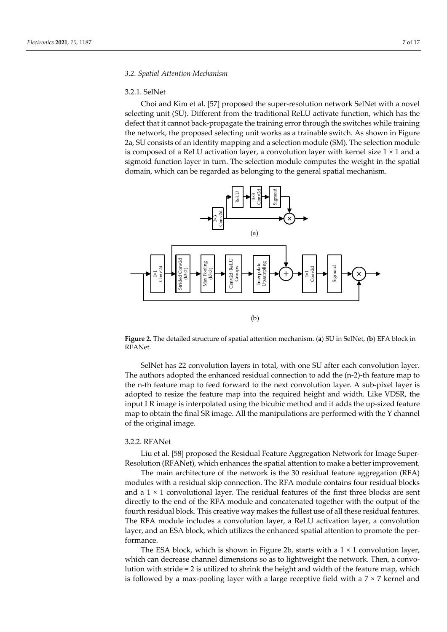## 3.2.1. SelNet

Choi and Kim et al. [57] proposed the super-resolution network SelNet with a novel selecting unit (SU). Different from the traditional ReLU activate function, which has the defect that it cannot back-propagate the training error through the switches while training the network, the proposed selecting unit works as a trainable switch. As shown in Figure 2a, SU consists of an identity mapping and a selection module (SM). The selection module is composed of a ReLU activation layer, a convolution layer with kernel size  $1 \times 1$  and a sigmoid function layer in turn. The selection module computes the weight in the spatial domain, which can be regarded as belonging to the general spatial mechanism.



**Figure 2.** The detailed structure of spatial attention mechanism. (**a**) SU in SelNet, (**b**) EFA block in RFANet.

SelNet has 22 convolution layers in total, with one SU after each convolution layer. The authors adopted the enhanced residual connection to add the (n-2)-th feature map to the n-th feature map to feed forward to the next convolution layer. A sub-pixel layer is adopted to resize the feature map into the required height and width. Like VDSR, the input LR image is interpolated using the bicubic method and it adds the up-sized feature map to obtain the final SR image. All the manipulations are performed with the Y channel of the original image.

## 3.2.2. RFANet

Liu et al. [58] proposed the Residual Feature Aggregation Network for Image Super-Resolution (RFANet), which enhances the spatial attention to make a better improvement.

The main architecture of the network is the 30 residual feature aggregation (RFA) modules with a residual skip connection. The RFA module contains four residual blocks and a  $1 \times 1$  convolutional layer. The residual features of the first three blocks are sent directly to the end of the RFA module and concatenated together with the output of the fourth residual block. This creative way makes the fullest use of all these residual features. The RFA module includes a convolution layer, a ReLU activation layer, a convolution layer, and an ESA block, which utilizes the enhanced spatial attention to promote the performance.

The ESA block, which is shown in Figure 2b, starts with a 1 × 1 convolution layer, which can decrease channel dimensions so as to lightweight the network. Then, a convolution with stride = 2 is utilized to shrink the height and width of the feature map, which is followed by a max-pooling layer with a large receptive field with a  $7 \times 7$  kernel and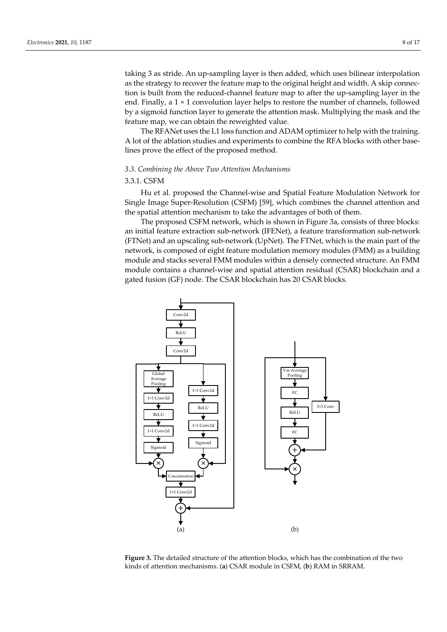taking 3 as stride. An up-sampling layer is then added, which uses bilinear interpolation as the strategy to recover the feature map to the original height and width. A skip connection is built from the reduced-channel feature map to after the up-sampling layer in the end. Finally, a  $1 \times 1$  convolution layer helps to restore the number of channels, followed by a sigmoid function layer to generate the attention mask. Multiplying the mask and the feature map, we can obtain the reweighted value.

The RFANet uses the L1 loss function and ADAM optimizer to help with the training. A lot of the ablation studies and experiments to combine the RFA blocks with other baselines prove the effect of the proposed method.

# *3.3. Combining the Above Two Attention Mechanisms*

# 3.3.1. CSFM

Hu et al. proposed the Channel-wise and Spatial Feature Modulation Network for Single Image Super-Resolution (CSFM) [59], which combines the channel attention and the spatial attention mechanism to take the advantages of both of them.

The proposed CSFM network, which is shown in Figure 3a, consists of three blocks: an initial feature extraction sub-network (IFENet), a feature transformation sub-network (FTNet) and an upscaling sub-network (UpNet). The FTNet, which is the main part of the network, is composed of eight feature modulation memory modules (FMM) as a building module and stacks several FMM modules within a densely connected structure. An FMM module contains a channel-wise and spatial attention residual (CSAR) blockchain and a gated fusion (GF) node. The CSAR blockchain has 20 CSAR blocks.



**Figure 3.** The detailed structure of the attention blocks, which has the combination of the two kinds of attention mechanisms. (**a**) CSAR module in CSFM, (**b**) RAM in SRRAM.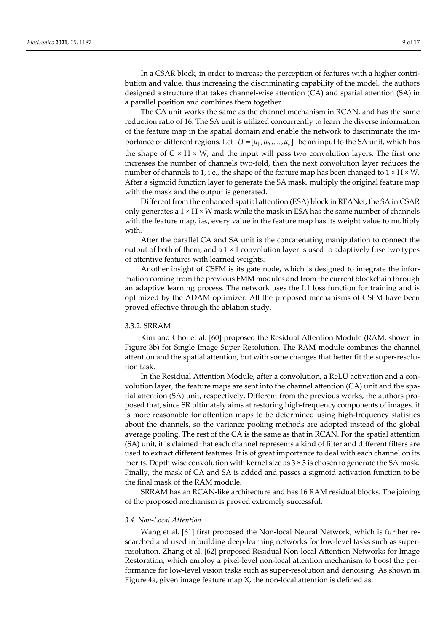In a CSAR block, in order to increase the perception of features with a higher contribution and value, thus increasing the discriminating capability of the model, the authors designed a structure that takes channel-wise attention (CA) and spatial attention (SA) in a parallel position and combines them together.

The CA unit works the same as the channel mechanism in RCAN, and has the same reduction ratio of 16. The SA unit is utilized concurrently to learn the diverse information of the feature map in the spatial domain and enable the network to discriminate the importance of different regions. Let  $U = [u_1, u_2, \ldots, u_c]$  be an input to the SA unit, which has the shape of  $C \times H \times W$ , and the input will pass two convolution layers. The first one increases the number of channels two-fold, then the next convolution layer reduces the number of channels to 1, i.e., the shape of the feature map has been changed to  $1 \times H \times W$ . After a sigmoid function layer to generate the SA mask, multiply the original feature map with the mask and the output is generated.

Different from the enhanced spatial attention (ESA) block in RFANet, the SA in CSAR only generates a  $1 \times H \times W$  mask while the mask in ESA has the same number of channels with the feature map, i.e., every value in the feature map has its weight value to multiply with.

After the parallel CA and SA unit is the concatenating manipulation to connect the output of both of them, and a  $1 \times 1$  convolution layer is used to adaptively fuse two types of attentive features with learned weights.

Another insight of CSFM is its gate node, which is designed to integrate the information coming from the previous FMM modules and from the current blockchain through an adaptive learning process. The network uses the L1 loss function for training and is optimized by the ADAM optimizer. All the proposed mechanisms of CSFM have been proved effective through the ablation study.

# 3.3.2. SRRAM

Kim and Choi et al. [60] proposed the Residual Attention Module (RAM, shown in Figure 3b) for Single Image Super-Resolution. The RAM module combines the channel attention and the spatial attention, but with some changes that better fit the super-resolution task.

In the Residual Attention Module, after a convolution, a ReLU activation and a convolution layer, the feature maps are sent into the channel attention (CA) unit and the spatial attention (SA) unit, respectively. Different from the previous works, the authors proposed that, since SR ultimately aims at restoring high-frequency components of images, it is more reasonable for attention maps to be determined using high-frequency statistics about the channels, so the variance pooling methods are adopted instead of the global average pooling. The rest of the CA is the same as that in RCAN. For the spatial attention (SA) unit, it is claimed that each channel represents a kind of filter and different filters are used to extract different features. It is of great importance to deal with each channel on its merits. Depth wise convolution with kernel size as  $3 \times 3$  is chosen to generate the SA mask. Finally, the mask of CA and SA is added and passes a sigmoid activation function to be the final mask of the RAM module.

SRRAM has an RCAN-like architecture and has 16 RAM residual blocks. The joining of the proposed mechanism is proved extremely successful.

## *3.4. Non-Local Attention*

Wang et al. [61] first proposed the Non-local Neural Network, which is further researched and used in building deep-learning networks for low-level tasks such as superresolution. Zhang et al. [62] proposed Residual Non-local Attention Networks for Image Restoration, which employ a pixel-level non-local attention mechanism to boost the performance for low-level vision tasks such as super-resolution and denoising. As shown in Figure 4a, given image feature map X, the non-local attention is defined as: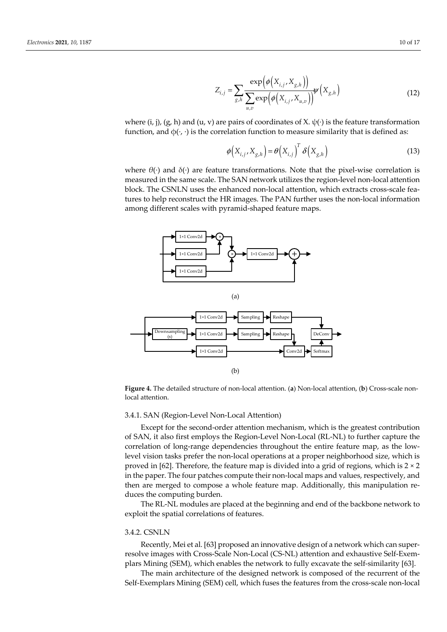$$
Z_{i,j} = \sum_{g,h} \frac{\exp\left(\phi\left(X_{i,j}, X_{g,h}\right)\right)}{\sum_{u,v} \exp\left(\phi\left(X_{i,j}, X_{u,v}\right)\right)} \psi\left(X_{g,h}\right) \tag{12}
$$

where (i, j), (g, h) and (u, v) are pairs of coordinates of X.  $\psi(\cdot)$  is the feature transformation function, and  $\phi(\cdot, \cdot)$  is the correlation function to measure similarity that is defined as:

$$
\phi\left(X_{i,j}, X_{g,h}\right) = \theta\left(X_{i,j}\right)^T \delta\left(X_{g,h}\right) \tag{13}
$$

where  $\theta(\cdot)$  and  $\delta(\cdot)$  are feature transformations. Note that the pixel-wise correlation is measured in the same scale. The SAN network utilizes the region-level non-local attention block. The CSNLN uses the enhanced non-local attention, which extracts cross-scale features to help reconstruct the HR images. The PAN further uses the non-local information among different scales with pyramid-shaped feature maps.



**Figure 4.** The detailed structure of non-local attention. (**a**) Non-local attention, (**b**) Cross-scale nonlocal attention.

# 3.4.1. SAN (Region-Level Non-Local Attention)

Except for the second-order attention mechanism, which is the greatest contribution of SAN, it also first employs the Region-Level Non-Local (RL-NL) to further capture the correlation of long-range dependencies throughout the entire feature map, as the lowlevel vision tasks prefer the non-local operations at a proper neighborhood size, which is proved in [62]. Therefore, the feature map is divided into a grid of regions, which is  $2 \times 2$ in the paper. The four patches compute their non-local maps and values, respectively, and then are merged to compose a whole feature map. Additionally, this manipulation reduces the computing burden.

The RL-NL modules are placed at the beginning and end of the backbone network to exploit the spatial correlations of features.

## 3.4.2. CSNLN

Recently, Mei et al. [63] proposed an innovative design of a network which can superresolve images with Cross-Scale Non-Local (CS-NL) attention and exhaustive Self-Exemplars Mining (SEM), which enables the network to fully excavate the self-similarity [63].

The main architecture of the designed network is composed of the recurrent of the Self-Exemplars Mining (SEM) cell, which fuses the features from the cross-scale non-local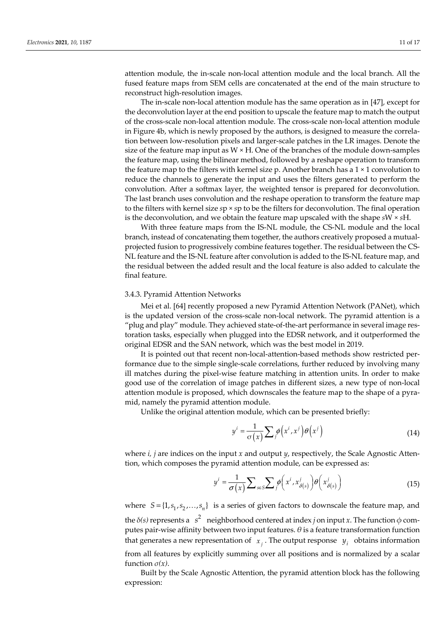attention module, the in-scale non-local attention module and the local branch. All the fused feature maps from SEM cells are concatenated at the end of the main structure to reconstruct high-resolution images.

The in-scale non-local attention module has the same operation as in [47], except for the deconvolution layer at the end position to upscale the feature map to match the output of the cross-scale non-local attention module. The cross-scale non-local attention module in Figure 4b, which is newly proposed by the authors, is designed to measure the correlation between low-resolution pixels and larger-scale patches in the LR images. Denote the size of the feature map input as  $W \times H$ . One of the branches of the module down-samples the feature map, using the bilinear method, followed by a reshape operation to transform the feature map to the filters with kernel size p. Another branch has a  $1 \times 1$  convolution to reduce the channels to generate the input and uses the filters generated to perform the convolution. After a softmax layer, the weighted tensor is prepared for deconvolution. The last branch uses convolution and the reshape operation to transform the feature map to the filters with kernel size *s*p × *s*p to be the filters for deconvolution. The final operation is the deconvolution, and we obtain the feature map upscaled with the shape *s*W × *s*H.

With three feature maps from the IS-NL module, the CS-NL module and the local branch, instead of concatenating them together, the authors creatively proposed a mutualprojected fusion to progressively combine features together. The residual between the CS-NL feature and the IS-NL feature after convolution is added to the IS-NL feature map, and the residual between the added result and the local feature is also added to calculate the final feature.

## 3.4.3. Pyramid Attention Networks

Mei et al. [64] recently proposed a new Pyramid Attention Network (PANet), which is the updated version of the cross-scale non-local network. The pyramid attention is a "plug and play" module. They achieved state-of-the-art performance in several image restoration tasks, especially when plugged into the EDSR network, and it outperformed the original EDSR and the SAN network, which was the best model in 2019.

It is pointed out that recent non-local-attention-based methods show restricted performance due to the simple single-scale correlations, further reduced by involving many ill matches during the pixel-wise feature matching in attention units. In order to make good use of the correlation of image patches in different sizes, a new type of non-local attention module is proposed, which downscales the feature map to the shape of a pyramid, namely the pyramid attention module.

Unlike the original attention module, which can be presented briefly:

$$
y^{i} = \frac{1}{\sigma(x)} \sum_{j} \phi(x^{i}, x^{j}) \theta(x^{j})
$$
\n(14)

where *i, j* are indices on the input *x* and output *y*, respectively, the Scale Agnostic Attention, which composes the pyramid attention module, can be expressed as:

$$
y^{i} = \frac{1}{\sigma(x)} \sum_{s \in S} \sum_{j} \phi\left(x^{i}, x^{j}_{\delta(s)}\right) \theta\left(x^{j}_{\delta(s)}\right)
$$
(15)

where  $S = \{1, s_1, s_2, ..., s_n\}$  is a series of given factors to downscale the feature map, and the  $\delta$ (s) represents a  $s^2$  neighborhood centered at index *j* on input *x*. The function  $\phi$  computes pair-wise affinity between two input features. *θ* is a feature transformation function that generates a new representation of  $x_i$ . The output response  $y_i$  obtains information from all features by explicitly summing over all positions and is normalized by a scalar function *σ(x)*.

Built by the Scale Agnostic Attention, the pyramid attention block has the following expression: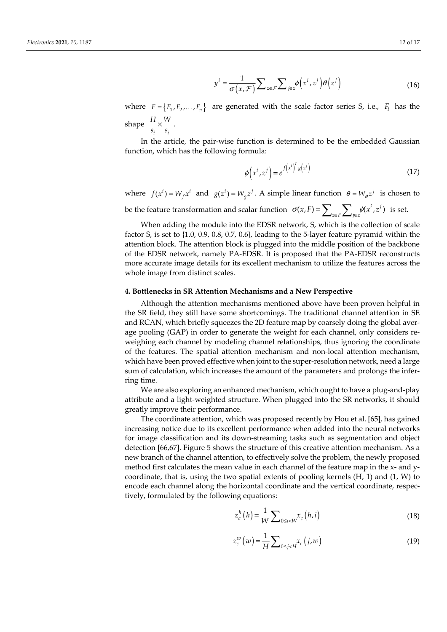$$
y^{i} = \frac{1}{\sigma(x,\mathcal{F})} \sum_{z \in \mathcal{F}} \sum_{j \in z} \phi(x^{i}, z^{j}) \theta(z^{j})
$$
 (16)

where  $F = \{F_1, F_2, \ldots, F_n\}$  are generated with the scale factor series S, i.e.,  $F_i$  has the shape  $\stackrel{\text{{\tiny \texttt{1-}}}}{\text{{\tiny \texttt{>}}}}\times$ *i i*  $\frac{H}{s_i} \times \frac{W}{s_i}$ .

In the article, the pair-wise function is determined to be the embedded Gaussian function, which has the following formula:

$$
\phi\!\left(x^i,z^j\right) = e^{f\left(x^i\right)^T g\left(z^j\right)}\tag{17}
$$

where  $f(x^i) = W_f x^i$  and  $g(z^i) = W_g z^j$ . A simple linear function  $\theta = W_g z^j$  is chosen to

be the feature transformation and scalar function  $\sigma(x,F) = \sum_{z \in F} \sum_{j \in z} \phi(x^i, z^j)$  is set.

When adding the module into the EDSR network, S, which is the collection of scale factor S, is set to {1.0, 0.9, 0.8, 0.7, 0.6}, leading to the 5-layer feature pyramid within the attention block. The attention block is plugged into the middle position of the backbone of the EDSR network, namely PA-EDSR. It is proposed that the PA-EDSR reconstructs more accurate image details for its excellent mechanism to utilize the features across the whole image from distinct scales.

# **4. Bottlenecks in SR Attention Mechanisms and a New Perspective**

Although the attention mechanisms mentioned above have been proven helpful in the SR field, they still have some shortcomings. The traditional channel attention in SE and RCAN, which briefly squeezes the 2D feature map by coarsely doing the global average pooling (GAP) in order to generate the weight for each channel, only considers reweighing each channel by modeling channel relationships, thus ignoring the coordinate of the features. The spatial attention mechanism and non-local attention mechanism, which have been proved effective when joint to the super-resolution network, need a large sum of calculation, which increases the amount of the parameters and prolongs the inferring time.

We are also exploring an enhanced mechanism, which ought to have a plug-and-play attribute and a light-weighted structure. When plugged into the SR networks, it should greatly improve their performance.

The coordinate attention, which was proposed recently by Hou et al. [65], has gained increasing notice due to its excellent performance when added into the neural networks for image classification and its down-streaming tasks such as segmentation and object detection [66,67]. Figure 5 shows the structure of this creative attention mechanism. As a new branch of the channel attention, to effectively solve the problem, the newly proposed method first calculates the mean value in each channel of the feature map in the x- and ycoordinate, that is, using the two spatial extents of pooling kernels (H, 1) and (1, W) to encode each channel along the horizontal coordinate and the vertical coordinate, respectively, formulated by the following equations:

$$
z_c^h(h) = \frac{1}{W} \sum_{0 \le i < W} x_c(h, i) \tag{18}
$$

$$
z_c^w(w) = \frac{1}{H} \sum_{0 \le j < H} x_c(j, w) \tag{19}
$$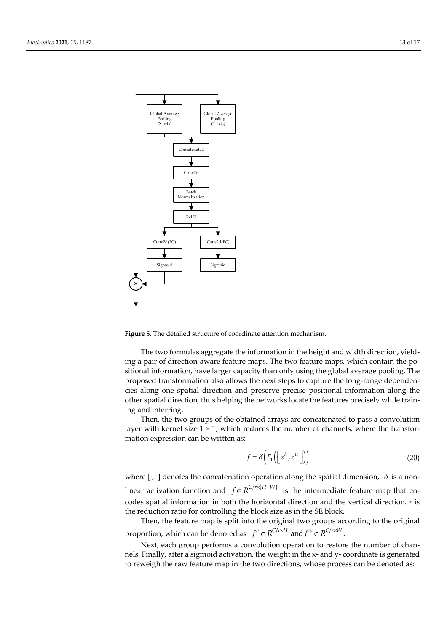

**Figure 5.** The detailed structure of coordinate attention mechanism.

The two formulas aggregate the information in the height and width direction, yielding a pair of direction-aware feature maps. The two feature maps, which contain the positional information, have larger capacity than only using the global average pooling. The proposed transformation also allows the next steps to capture the long-range dependencies along one spatial direction and preserve precise positional information along the other spatial direction, thus helping the networks locate the features precisely while training and inferring.

Then, the two groups of the obtained arrays are concatenated to pass a convolution layer with kernel size  $1 \times 1$ , which reduces the number of channels, where the transformation expression can be written as:

$$
f = \delta\left(F_1\left(\left[z^h, z^w\right]\right)\right) \tag{20}
$$

where [ $\cdot$ ,  $\cdot$ ] denotes the concatenation operation along the spatial dimension,  $\delta$  is a nonlinear activation function and  $f \in R^{C/r \times (H+W)}$  is the intermediate feature map that encodes spatial information in both the horizontal direction and the vertical direction. *r* is the reduction ratio for controlling the block size as in the SE block.

Then, the feature map is split into the original two groups according to the original proportion, which can be denoted as  $f^h \in R^{C/r \times H}$  and  $f^w \in R^{C/r \times W}$ .

Next, each group performs a convolution operation to restore the number of channels. Finally, after a sigmoid activation, the weight in the x- and y- coordinate is generated to reweigh the raw feature map in the two directions, whose process can be denoted as: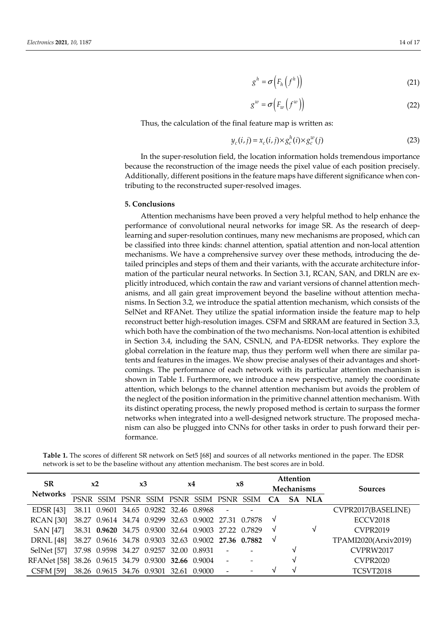$$
g^h = \sigma\left(F_h\left(f^h\right)\right) \tag{21}
$$

$$
g^w = \sigma\left(F_w\left(f^w\right)\right) \tag{22}
$$

Thus, the calculation of the final feature map is written as:

$$
y_c(i,j) = x_c(i,j) \times g_c^h(i) \times g_c^w(j)
$$
\n(23)

In the super-resolution field, the location information holds tremendous importance because the reconstruction of the image needs the pixel value of each position precisely. Additionally, different positions in the feature maps have different significance when contributing to the reconstructed super-resolved images.

## **5. Conclusions**

Attention mechanisms have been proved a very helpful method to help enhance the performance of convolutional neural networks for image SR. As the research of deeplearning and super-resolution continues, many new mechanisms are proposed, which can be classified into three kinds: channel attention, spatial attention and non-local attention mechanisms. We have a comprehensive survey over these methods, introducing the detailed principles and steps of them and their variants, with the accurate architecture information of the particular neural networks. In Section 3.1, RCAN, SAN, and DRLN are explicitly introduced, which contain the raw and variant versions of channel attention mechanisms, and all gain great improvement beyond the baseline without attention mechanisms. In Section 3.2, we introduce the spatial attention mechanism, which consists of the SelNet and RFANet. They utilize the spatial information inside the feature map to help reconstruct better high-resolution images. CSFM and SRRAM are featured in Section 3.3, which both have the combination of the two mechanisms. Non-local attention is exhibited in Section 3.4, including the SAN, CSNLN, and PA-EDSR networks. They explore the global correlation in the feature map, thus they perform well when there are similar patents and features in the images. We show precise analyses of their advantages and shortcomings. The performance of each network with its particular attention mechanism is shown in Table 1. Furthermore, we introduce a new perspective, namely the coordinate attention, which belongs to the channel attention mechanism but avoids the problem of the neglect of the position information in the primitive channel attention mechanism. With its distinct operating process, the newly proposed method is certain to surpass the former networks when integrated into a well-designed network structure. The proposed mechanism can also be plugged into CNNs for other tasks in order to push forward their performance.

| SR.                                                | x2 |  | x3 |                                                     | x4 |  | x8                       |                                                       | <b>Attention</b><br><b>Mechanisms</b> |   |        |                      |
|----------------------------------------------------|----|--|----|-----------------------------------------------------|----|--|--------------------------|-------------------------------------------------------|---------------------------------------|---|--------|----------------------|
| <b>Networks</b>                                    |    |  |    |                                                     |    |  |                          | PSNR SSIM PSNR SSIM PSNR SSIM PSNR SSIM CA            |                                       |   | SA NLA | <b>Sources</b>       |
| <b>EDSR</b> [43]                                   |    |  |    | 38.11 0.9601 34.65 0.9282 32.46 0.8968 -            |    |  |                          |                                                       |                                       |   |        | CVPR2017(BASELINE)   |
| <b>RCAN</b> [30]                                   |    |  |    |                                                     |    |  |                          | 38.27 0.9614 34.74 0.9299 32.63 0.9002 27.31 0.7878 √ |                                       |   |        | <b>ECCV2018</b>      |
| SAN [47]                                           |    |  |    | 38.31 0.9620 34.75 0.9300 32.64 0.9003 27.22 0.7829 |    |  |                          |                                                       | $\sqrt{ }$                            |   | √      | <b>CVPR2019</b>      |
| <b>DRNL</b> [48]                                   |    |  |    |                                                     |    |  |                          | 38.27 0.9616 34.78 0.9303 32.63 0.9002 27.36 0.7882 √ |                                       |   |        | TPAMI2020(Arxiv2019) |
| SelNet [57]                                        |    |  |    | 37.98 0.9598 34.27 0.9257 32.00 0.8931              |    |  | $\sim$                   |                                                       |                                       |   |        | CVPRW2017            |
| RFANet [58] 38.26 0.9615 34.79 0.9300 32.66 0.9004 |    |  |    |                                                     |    |  | $\sim$                   |                                                       |                                       | V |        | <b>CVPR2020</b>      |
| CSFM [59]                                          |    |  |    | 38.26 0.9615 34.76 0.9301 32.61 0.9000              |    |  | $\overline{\phantom{a}}$ |                                                       |                                       |   |        | TCSVT2018            |

**Table 1.** The scores of different SR network on Set5 [68] and sources of all networks mentioned in the paper. The EDSR network is set to be the baseline without any attention mechanism. The best scores are in bold.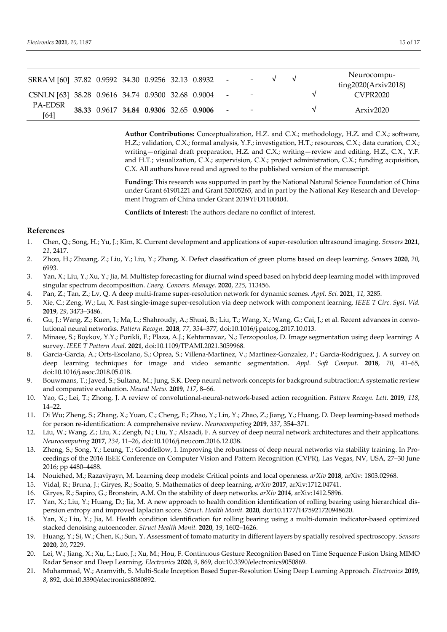| SRRAM [60] 37.82 0.9592 34.30 0.9256 32.13 0.8932 - |  |                                        |  |                          | $\mathbf{v}$ | $\mathcal{N}$ | Neurocompu-<br>ting2020(Arxiv2018) |
|-----------------------------------------------------|--|----------------------------------------|--|--------------------------|--------------|---------------|------------------------------------|
| CSNLN [63] 38.28 0.9616 34.74 0.9300 32.68 0.9004 - |  |                                        |  | $\overline{\phantom{a}}$ |              |               | CVPR2020                           |
| PA-EDSR<br>[64]                                     |  | 38.33 0.9617 34.84 0.9306 32.65 0.9006 |  | $\overline{\phantom{0}}$ |              |               | Arxiv2020                          |

**Author Contributions:** Conceptualization, H.Z. and C.X.; methodology, H.Z. and C.X.; software, H.Z.; validation, C.X.; formal analysis, Y.F.; investigation, H.T.; resources, C.X.; data curation, C.X.; writing—original draft preparation, H.Z. and C.X.; writing—review and editing, H.Z., C.X., Y.F. and H.T.; visualization, C.X.; supervision, C.X.; project administration, C.X.; funding acquisition, C.X. All authors have read and agreed to the published version of the manuscript.

**Funding:** This research was supported in part by the National Natural Science Foundation of China under Grant 61901221 and Grant 52005265, and in part by the National Key Research and Development Program of China under Grant 2019YFD1100404.

**Conflicts of Interest:** The authors declare no conflict of interest.

# **References**

- 1. Chen, Q.; Song, H.; Yu, J.; Kim, K. Current development and applications of super-resolution ultrasound imaging. *Sensors* **2021**, *21*, 2417.
- 2. Zhou, H.; Zhuang, Z.; Liu, Y.; Liu, Y.; Zhang, X. Defect classification of green plums based on deep learning. *Sensors* **2020**, *20*, 6993.
- 3. Yan, X.; Liu, Y.; Xu, Y.; Jia, M. Multistep forecasting for diurnal wind speed based on hybrid deep learning model with improved singular spectrum decomposition. *Energ. Convers. Manage.* **2020**, *225*, 113456.
- 4. Pan, Z.; Tan, Z.; Lv, Q. A deep multi-frame super-resolution network for dynamic scenes. *Appl. Sci.* **2021**, *11*, 3285.
- 5. Xie, C.; Zeng, W.; Lu, X. Fast single-image super-resolution via deep network with component learning. *IEEE T Circ. Syst. Vid.*  **2019**, *29*, 3473–3486.
- 6. Gu, J.; Wang, Z.; Kuen, J.; Ma, L.; Shahroudy, A.; Shuai, B.; Liu, T.; Wang, X.; Wang, G.; Cai, J.; et al. Recent advances in convolutional neural networks. *Pattern Recogn.* **2018**, *77*, 354–377, doi:10.1016/j.patcog.2017.10.013.
- 7. Minaee, S.; Boykov, Y.Y.; Porikli, F.; Plaza, A.J.; Kehtarnavaz, N.; Terzopoulos, D. Image segmentation using deep learning: A survey. *IEEE T Pattern Anal.* **2021**, doi:10.1109/TPAMI.2021.3059968.
- 8. Garcia-Garcia, A.; Orts-Escolano, S.; Oprea, S.; Villena-Martinez, V.; Martinez-Gonzalez, P.; Garcia-Rodriguez, J. A survey on deep learning techniques for image and video semantic segmentation. *Appl. Soft Comput.* **2018**, *70*, 41–65, doi:10.1016/j.asoc.2018.05.018.
- 9. Bouwmans, T.; Javed, S.; Sultana, M.; Jung, S.K. Deep neural network concepts for background subtraction:A systematic review and comparative evaluation. *Neural Netw.* **2019**, *117*, 8–66.
- 10. Yao, G.; Lei, T.; Zhong, J. A review of convolutional-neural-network-based action recognition. *Pattern Recogn. Lett.* **2019**, *118*, 14–22.
- 11. Di Wu; Zheng, S.; Zhang, X.; Yuan, C.; Cheng, F.; Zhao, Y.; Lin, Y.; Zhao, Z.; Jiang, Y.; Huang, D. Deep learning-based methods for person re-identification: A comprehensive review. *Neurocomputing* **2019**, *337*, 354–371.
- 12. Liu, W.; Wang, Z.; Liu, X.; Zengb, N.; Liu, Y.; Alsaadi, F. A survey of deep neural network architectures and their applications. *Neurocomputing* **2017**, *234*, 11–26, doi:10.1016/j.neucom.2016.12.038.
- 13. Zheng, S.; Song, Y.; Leung, T.; Goodfellow, I. Improving the robustness of deep neural networks via stability training. In Proceedings of the 2016 IEEE Conference on Computer Vision and Pattern Recognition (CVPR), Las Vegas, NV, USA, 27–30 June 2016; pp 4480–4488.
- 14. Nouiehed, M.; Razaviyayn, M. Learning deep models: Critical points and local openness. *arXiv* **2018**, arXiv: 1803.02968.
- 15. Vidal, R.; Bruna, J.; Giryes, R.; Soatto, S. Mathematics of deep learning. *arXiv* **2017**, arXiv:1712.04741.
- 16. Giryes, R.; Sapiro, G.; Bronstein, A.M. On the stability of deep networks. *arXiv* **2014**, arXiv:1412.5896.
- 17. Yan, X.; Liu, Y.; Huang, D.; Jia, M. A new approach to health condition identification of rolling bearing using hierarchical dispersion entropy and improved laplacian score. *Struct. Health Monit.* **2020**, doi:10.1177/1475921720948620.
- 18. Yan, X.; Liu, Y.; Jia, M. Health condition identification for rolling bearing using a multi-domain indicator-based optimized stacked denoising autoencoder. *Struct Health Monit.* **2020**, *19*, 1602–1626.
- 19. Huang, Y.; Si, W.; Chen, K.; Sun, Y. Assessment of tomato maturity in different layers by spatially resolved spectroscopy. *Sensors*  **2020**, *20*, 7229.
- 20. Lei, W.; Jiang, X.; Xu, L.; Luo, J.; Xu, M.; Hou, F. Continuous Gesture Recognition Based on Time Sequence Fusion Using MIMO Radar Sensor and Deep Learning. *Electronics* **2020**, *9*, 869, doi:10.3390/electronics9050869.
- 21. Muhammad, W.; Aramvith, S. Multi-Scale Inception Based Super-Resolution Using Deep Learning Approach. *Electronics* **2019**, *8*, 892, doi:10.3390/electronics8080892.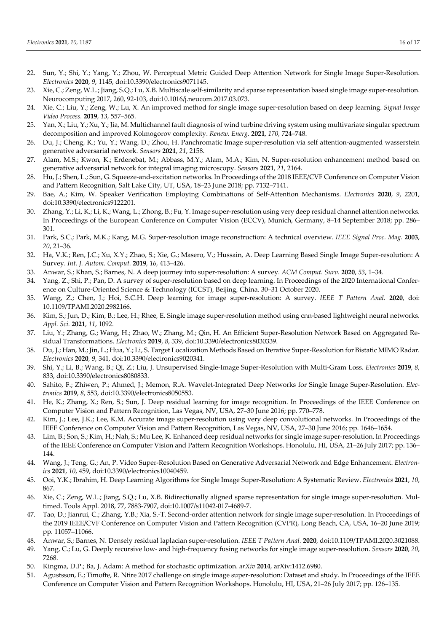- 22. Sun, Y.; Shi, Y.; Yang, Y.; Zhou, W. Perceptual Metric Guided Deep Attention Network for Single Image Super-Resolution. *Electronics* **2020**, *9*, 1145, doi:10.3390/electronics9071145.
- 23. Xie, C.; Zeng, W.L.; Jiang, S.Q.; Lu, X.B. Multiscale self-similarity and sparse representation based single image super-resolution. Neurocomputing 2017, 260, 92-103, doi:10.1016/j.neucom.2017.03.073.
- 24. Xie, C.; Liu, Y.; Zeng, W.; Lu, X. An improved method for single image super-resolution based on deep learning. *Signal Image Video Process.* **2019**, *13*, 557–565.
- 25. Yan, X.; Liu, Y.; Xu, Y.; Jia, M. Multichannel fault diagnosis of wind turbine driving system using multivariate singular spectrum decomposition and improved Kolmogorov complexity. *Renew. Energ.* **2021**, *170*, 724–748.
- 26. Du, J.; Cheng, K.; Yu, Y.; Wang, D.; Zhou, H. Panchromatic Image super-resolution via self attention-augmented wasserstein generative adversarial network. *Sensors* **2021**, *21*, 2158.
- 27. Alam, M.S.; Kwon, K.; Erdenebat, M.; Abbass, M.Y.; Alam, M.A.; Kim, N. Super-resolution enhancement method based on generative adversarial network for integral imaging microscopy. *Sensors* **2021**, *21*, 2164.
- 28. Hu, J.; Shen, L.; Sun, G. Squeeze-and-excitation networks. In Proceedings of the 2018 IEEE/CVF Conference on Computer Vision and Pattern Recognition, Salt Lake City, UT, USA, 18–23 June 2018; pp. 7132–7141.
- 29. Bae, A.; Kim, W. Speaker Verification Employing Combinations of Self-Attention Mechanisms. *Electronics* **2020**, *9*, 2201, doi:10.3390/electronics9122201.
- 30. Zhang, Y.; Li, K.; Li, K.; Wang, L.; Zhong, B.; Fu, Y. Image super-resolution using very deep residual channel attention networks. In Proceedings of the European Conference on Computer Vision (ECCV), Munich, Germany, 8–14 September 2018; pp. 286– 301.
- 31. Park, S.C.; Park, M.K.; Kang, M.G. Super-resolution image reconstruction: A technical overview. *IEEE Signal Proc. Mag.* **2003**, *20*, 21–36.
- 32. Ha, V.K.; Ren, J.C.; Xu, X.Y.; Zhao, S.; Xie, G.; Masero, V.; Hussain, A. Deep Learning Based Single Image Super-resolution: A Survey. *Int. J. Autom. Comput.* **2019**, *16*, 413–426.
- 33. Anwar, S.; Khan, S.; Barnes, N. A deep journey into super-resolution: A survey. *ACM Comput. Surv.* **2020**, *53*, 1–34.
- 34. Yang, Z.; Shi, P.; Pan, D. A survey of super-resolution based on deep learning. In Proceedings of the 2020 International Conference on Culture-Oriented Science & Technology (ICCST), Beijing, China. 30–31 October 2020.
- 35. Wang, Z.; Chen, J.; Hoi, S.C.H. Deep learning for image super-resolution: A survey. *IEEE T Pattern Anal.* **2020**, doi: 10.1109/TPAMI.2020.2982166.
- 36. Kim, S.; Jun, D.; Kim, B.; Lee, H.; Rhee, E. Single image super-resolution method using cnn-based lightweight neural networks. *Appl. Sci.* **2021**, *11*, 1092.
- 37. Liu, Y.; Zhang, G.; Wang, H.; Zhao, W.; Zhang, M.; Qin, H. An Efficient Super-Resolution Network Based on Aggregated Residual Transformations. *Electronics* **2019**, *8*, 339, doi:10.3390/electronics8030339.
- 38. Du, J.; Han, M.; Jin, L.; Hua, Y.; Li, S. Target Localization Methods Based on Iterative Super-Resolution for Bistatic MIMO Radar. *Electronics* **2020**, *9*, 341, doi:10.3390/electronics9020341.
- 39. Shi, Y.; Li, B.; Wang, B.; Qi, Z.; Liu, J. Unsupervised Single-Image Super-Resolution with Multi-Gram Loss. *Electronics* **2019**, *8*, 833, doi:10.3390/electronics8080833.
- 40. Sahito, F.; Zhiwen, P.; Ahmed, J.; Memon, R.A. Wavelet-Integrated Deep Networks for Single Image Super-Resolution. *Electronics* **2019**, *8*, 553, doi:10.3390/electronics8050553.
- 41. He, K.; Zhang, X.; Ren, S.; Sun, J. Deep residual learning for image recognition. In Proceedings of the IEEE Conference on Computer Vision and Pattern Recognition, Las Vegas, NV, USA, 27–30 June 2016; pp. 770–778.
- 42. Kim, J.; Lee, J.K.; Lee, K.M. Accurate image super-resolution using very deep convolutional networks. In Proceedings of the IEEE Conference on Computer Vision and Pattern Recognition, Las Vegas, NV, USA, 27–30 June 2016; pp. 1646–1654.
- 43. Lim, B.; Son, S.; Kim, H.; Nah, S.; Mu Lee, K. Enhanced deep residual networks for single image super-resolution. In Proceedings of the IEEE Conference on Computer Vision and Pattern Recognition Workshops. Honolulu, HI, USA, 21–26 July 2017; pp. 136– 144.
- 44. Wang, J.; Teng, G.; An, P. Video Super-Resolution Based on Generative Adversarial Network and Edge Enhancement. *Electronics* **2021**, *10*, 459, doi:10.3390/electronics10040459.
- 45. Ooi, Y.K.; Ibrahim, H. Deep Learning Algorithms for Single Image Super-Resolution: A Systematic Review. *Electronics* **2021**, *10*, 867.
- 46. Xie, C.; Zeng, W.L.; Jiang, S.Q.; Lu, X.B. Bidirectionally aligned sparse representation for single image super-resolution. Multimed. Tools Appl. 2018, 77, 7883-7907, doi:10.1007/s11042-017-4689-7.
- 47. Tao, D.; Jianrui, C.; Zhang, Y.B.; Xia, S.-T. Second-order attention network for single image super-resolution. In Proceedings of the 2019 IEEE/CVF Conference on Computer Vision and Pattern Recognition (CVPR), Long Beach, CA, USA, 16–20 June 2019; pp. 11057–11066.
- 48. Anwar, S.; Barnes, N. Densely residual laplacian super-resolution. *IEEE T Pattern Anal.* **2020**, doi:10.1109/TPAMI.2020.3021088.
- 49. Yang, C.; Lu, G. Deeply recursive low- and high-frequency fusing networks for single image super-resolution. *Sensors* **2020**, *20*, 7268.
- 50. Kingma, D.P.; Ba, J. Adam: A method for stochastic optimization. *arXiv* **2014**, arXiv:1412.6980.
- 51. Agustsson, E.; Timofte, R. Ntire 2017 challenge on single image super-resolution: Dataset and study. In Proceedings of the IEEE Conference on Computer Vision and Pattern Recognition Workshops. Honolulu, HI, USA, 21–26 July 2017; pp. 126–135.